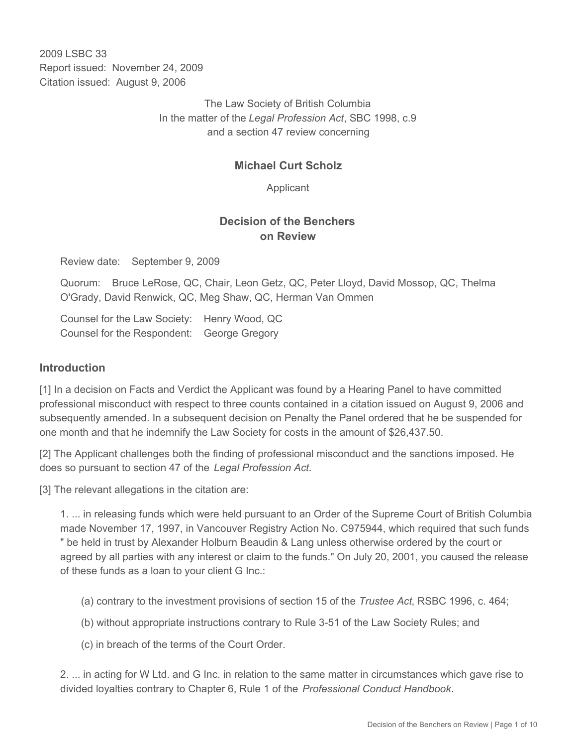2009 LSBC 33 Report issued: November 24, 2009 Citation issued: August 9, 2006

> The Law Society of British Columbia In the matter of the *Legal Profession Act*, SBC 1998, c.9 and a section 47 review concerning

### **Michael Curt Scholz**

Applicant

### **Decision of the Benchers on Review**

Review date: September 9, 2009

Quorum: Bruce LeRose, QC, Chair, Leon Getz, QC, Peter Lloyd, David Mossop, QC, Thelma O'Grady, David Renwick, QC, Meg Shaw, QC, Herman Van Ommen

Counsel for the Law Society: Henry Wood, QC Counsel for the Respondent: George Gregory

#### **Introduction**

[1] In a decision on Facts and Verdict the Applicant was found by a Hearing Panel to have committed professional misconduct with respect to three counts contained in a citation issued on August 9, 2006 and subsequently amended. In a subsequent decision on Penalty the Panel ordered that he be suspended for one month and that he indemnify the Law Society for costs in the amount of \$26,437.50.

[2] The Applicant challenges both the finding of professional misconduct and the sanctions imposed. He does so pursuant to section 47 of the *Legal Profession Act.*

[3] The relevant allegations in the citation are:

1. ... in releasing funds which were held pursuant to an Order of the Supreme Court of British Columbia made November 17, 1997, in Vancouver Registry Action No. C975944, which required that such funds " be held in trust by Alexander Holburn Beaudin & Lang unless otherwise ordered by the court or agreed by all parties with any interest or claim to the funds." On July 20, 2001, you caused the release of these funds as a loan to your client G Inc.:

(a) contrary to the investment provisions of section 15 of the *Trustee Act*, RSBC 1996, c. 464;

(b) without appropriate instructions contrary to Rule 3-51 of the Law Society Rules; and

(c) in breach of the terms of the Court Order.

2. ... in acting for W Ltd. and G Inc. in relation to the same matter in circumstances which gave rise to divided loyalties contrary to Chapter 6, Rule 1 of the *Professional Conduct Handbook*.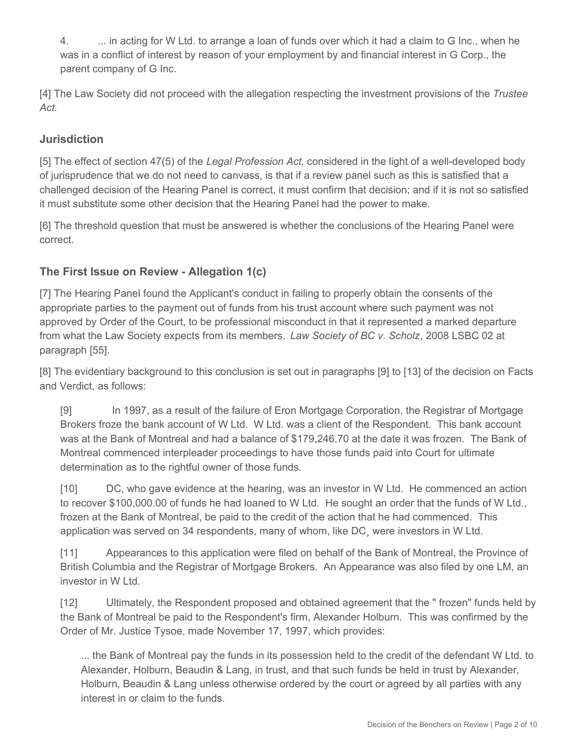4. ... in acting for W Ltd. to arrange a loan of funds over which it had a claim to G Inc., when he was in a conflict of interest by reason of your employment by and financial interest in G Corp., the parent company of G Inc.

[4] The Law Society did not proceed with the allegation respecting the investment provisions of the *Trustee Act.*

# **Jurisdiction**

[5] The effect of section 47(5) of the *Legal Profession Act,* considered in the light of a well-developed body of jurisprudence that we do not need to canvass, is that if a review panel such as this is satisfied that a challenged decision of the Hearing Panel is correct, it must confirm that decision; and if it is not so satisfied it must substitute some other decision that the Hearing Panel had the power to make.

[6] The threshold question that must be answered is whether the conclusions of the Hearing Panel were correct.

# **The First Issue on Review - Allegation 1(c)**

[7] The Hearing Panel found the Applicant's conduct in failing to properly obtain the consents of the appropriate parties to the payment out of funds from his trust account where such payment was not approved by Order of the Court, to be professional misconduct in that it represented a marked departure from what the Law Society expects from its members. *Law Society of BC v. Scholz*, 2008 LSBC 02 at paragraph [55].

[8] The evidentiary background to this conclusion is set out in paragraphs [9] to [13] of the decision on Facts and Verdict, as follows:

[9] In 1997, as a result of the failure of Eron Mortgage Corporation, the Registrar of Mortgage Brokers froze the bank account of W Ltd. W Ltd. was a client of the Respondent. This bank account was at the Bank of Montreal and had a balance of \$179,246.70 at the date it was frozen. The Bank of Montreal commenced interpleader proceedings to have those funds paid into Court for ultimate determination as to the rightful owner of those funds.

[10] DC, who gave evidence at the hearing, was an investor in W Ltd. He commenced an action to recover \$100,000.00 of funds he had loaned to W Ltd. He sought an order that the funds of W Ltd., frozen at the Bank of Montreal, be paid to the credit of the action that he had commenced. This application was served on 34 respondents, many of whom, like DC¸ were investors in W Ltd.

[11] Appearances to this application were filed on behalf of the Bank of Montreal, the Province of British Columbia and the Registrar of Mortgage Brokers. An Appearance was also filed by one LM, an investor in W Ltd.

[12] Ultimately, the Respondent proposed and obtained agreement that the " frozen" funds held by the Bank of Montreal be paid to the Respondent's firm, Alexander Holburn. This was confirmed by the Order of Mr. Justice Tysoe, made November 17, 1997, which provides:

... the Bank of Montreal pay the funds in its possession held to the credit of the defendant W Ltd. to Alexander, Holburn, Beaudin & Lang, in trust, and that such funds be held in trust by Alexander, Holburn, Beaudin & Lang unless otherwise ordered by the court or agreed by all parties with any interest in or claim to the funds.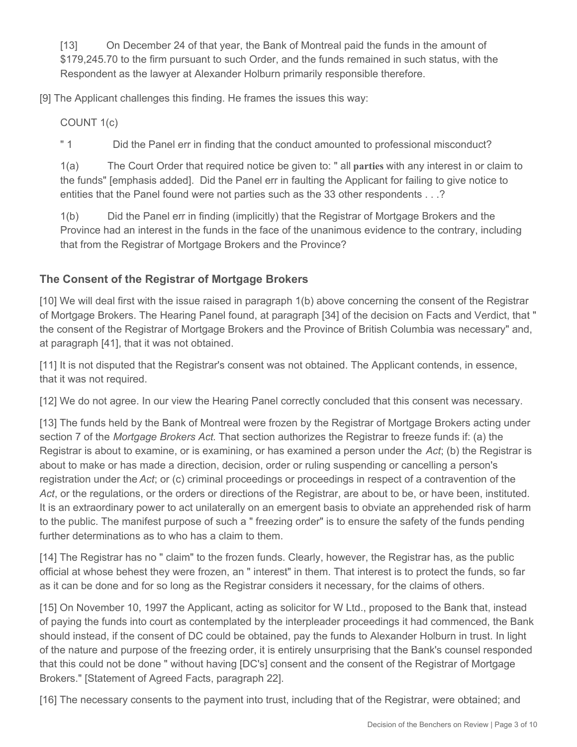[13] On December 24 of that year, the Bank of Montreal paid the funds in the amount of \$179,245.70 to the firm pursuant to such Order, and the funds remained in such status, with the Respondent as the lawyer at Alexander Holburn primarily responsible therefore.

[9] The Applicant challenges this finding. He frames the issues this way:

COUNT 1(c)

" 1 Did the Panel err in finding that the conduct amounted to professional misconduct?

1(a) The Court Order that required notice be given to: " all **parties** with any interest in or claim to the funds" [emphasis added]. Did the Panel err in faulting the Applicant for failing to give notice to entities that the Panel found were not parties such as the 33 other respondents . . .?

1(b) Did the Panel err in finding (implicitly) that the Registrar of Mortgage Brokers and the Province had an interest in the funds in the face of the unanimous evidence to the contrary, including that from the Registrar of Mortgage Brokers and the Province?

# **The Consent of the Registrar of Mortgage Brokers**

[10] We will deal first with the issue raised in paragraph 1(b) above concerning the consent of the Registrar of Mortgage Brokers. The Hearing Panel found, at paragraph [34] of the decision on Facts and Verdict, that " the consent of the Registrar of Mortgage Brokers and the Province of British Columbia was necessary" and, at paragraph [41], that it was not obtained.

[11] It is not disputed that the Registrar's consent was not obtained. The Applicant contends, in essence, that it was not required.

[12] We do not agree. In our view the Hearing Panel correctly concluded that this consent was necessary.

[13] The funds held by the Bank of Montreal were frozen by the Registrar of Mortgage Brokers acting under section 7 of the *Mortgage Brokers Act*. That section authorizes the Registrar to freeze funds if: (a) the Registrar is about to examine, or is examining, or has examined a person under the *Act*; (b) the Registrar is about to make or has made a direction, decision, order or ruling suspending or cancelling a person's registration under the *Act*; or (c) criminal proceedings or proceedings in respect of a contravention of the *Act*, or the regulations, or the orders or directions of the Registrar, are about to be, or have been, instituted. It is an extraordinary power to act unilaterally on an emergent basis to obviate an apprehended risk of harm to the public. The manifest purpose of such a " freezing order" is to ensure the safety of the funds pending further determinations as to who has a claim to them.

[14] The Registrar has no " claim" to the frozen funds. Clearly, however, the Registrar has, as the public official at whose behest they were frozen, an " interest" in them. That interest is to protect the funds, so far as it can be done and for so long as the Registrar considers it necessary, for the claims of others.

[15] On November 10, 1997 the Applicant, acting as solicitor for W Ltd., proposed to the Bank that, instead of paying the funds into court as contemplated by the interpleader proceedings it had commenced, the Bank should instead, if the consent of DC could be obtained, pay the funds to Alexander Holburn in trust. In light of the nature and purpose of the freezing order, it is entirely unsurprising that the Bank's counsel responded that this could not be done " without having [DC's] consent and the consent of the Registrar of Mortgage Brokers." [Statement of Agreed Facts, paragraph 22].

[16] The necessary consents to the payment into trust, including that of the Registrar, were obtained; and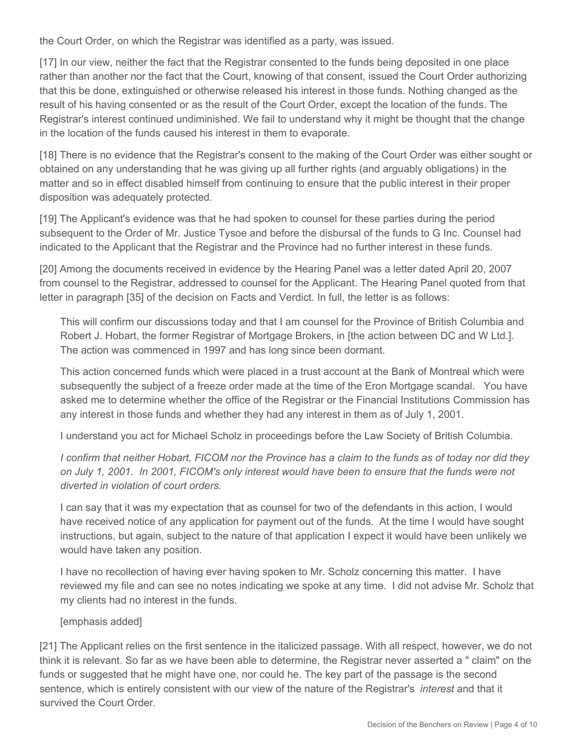the Court Order, on which the Registrar was identified as a party, was issued.

[17] In our view, neither the fact that the Registrar consented to the funds being deposited in one place rather than another nor the fact that the Court, knowing of that consent, issued the Court Order authorizing that this be done, extinguished or otherwise released his interest in those funds. Nothing changed as the result of his having consented or as the result of the Court Order, except the location of the funds. The Registrar's interest continued undiminished. We fail to understand why it might be thought that the change in the location of the funds caused his interest in them to evaporate.

[18] There is no evidence that the Registrar's consent to the making of the Court Order was either sought or obtained on any understanding that he was giving up all further rights (and arguably obligations) in the matter and so in effect disabled himself from continuing to ensure that the public interest in their proper disposition was adequately protected.

[19] The Applicant's evidence was that he had spoken to counsel for these parties during the period subsequent to the Order of Mr. Justice Tysoe and before the disbursal of the funds to G Inc. Counsel had indicated to the Applicant that the Registrar and the Province had no further interest in these funds.

[20] Among the documents received in evidence by the Hearing Panel was a letter dated April 20, 2007 from counsel to the Registrar, addressed to counsel for the Applicant. The Hearing Panel quoted from that letter in paragraph [35] of the decision on Facts and Verdict. In full, the letter is as follows:

This will confirm our discussions today and that I am counsel for the Province of British Columbia and Robert J. Hobart, the former Registrar of Mortgage Brokers, in [the action between DC and W Ltd.]. The action was commenced in 1997 and has long since been dormant.

This action concerned funds which were placed in a trust account at the Bank of Montreal which were subsequently the subject of a freeze order made at the time of the Eron Mortgage scandal. You have asked me to determine whether the office of the Registrar or the Financial Institutions Commission has any interest in those funds and whether they had any interest in them as of July 1, 2001.

I understand you act for Michael Scholz in proceedings before the Law Society of British Columbia.

*I confirm that neither Hobart, FICOM nor the Province has a claim to the funds as of today nor did they on July 1, 2001. In 2001, FICOM's only interest would have been to ensure that the funds were not diverted in violation of court orders.*

I can say that it was my expectation that as counsel for two of the defendants in this action, I would have received notice of any application for payment out of the funds. At the time I would have sought instructions, but again, subject to the nature of that application I expect it would have been unlikely we would have taken any position.

I have no recollection of having ever having spoken to Mr. Scholz concerning this matter. I have reviewed my file and can see no notes indicating we spoke at any time. I did not advise Mr. Scholz that my clients had no interest in the funds.

### [emphasis added]

[21] The Applicant relies on the first sentence in the italicized passage. With all respect, however, we do not think it is relevant. So far as we have been able to determine, the Registrar never asserted a " claim" on the funds or suggested that he might have one, nor could he. The key part of the passage is the second sentence, which is entirely consistent with our view of the nature of the Registrar's *interest* and that it survived the Court Order.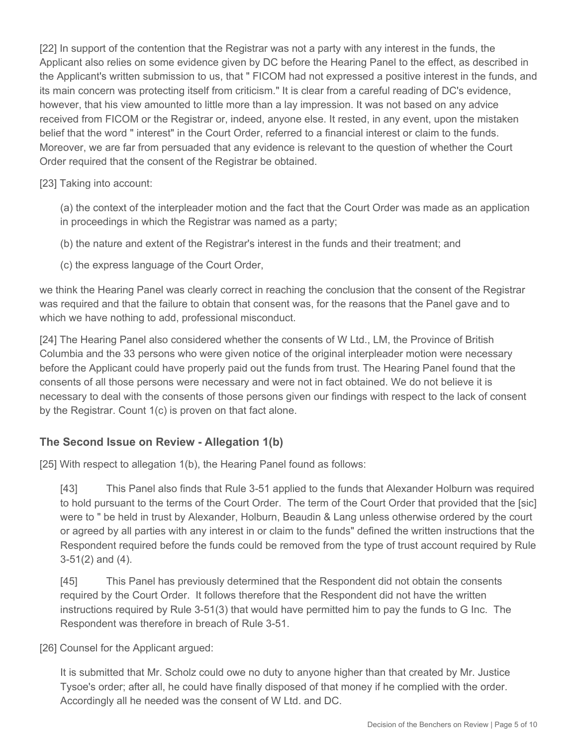[22] In support of the contention that the Registrar was not a party with any interest in the funds, the Applicant also relies on some evidence given by DC before the Hearing Panel to the effect, as described in the Applicant's written submission to us, that " FICOM had not expressed a positive interest in the funds, and its main concern was protecting itself from criticism." It is clear from a careful reading of DC's evidence, however, that his view amounted to little more than a lay impression. It was not based on any advice received from FICOM or the Registrar or, indeed, anyone else. It rested, in any event, upon the mistaken belief that the word " interest" in the Court Order, referred to a financial interest or claim to the funds. Moreover, we are far from persuaded that any evidence is relevant to the question of whether the Court Order required that the consent of the Registrar be obtained.

### [23] Taking into account:

(a) the context of the interpleader motion and the fact that the Court Order was made as an application in proceedings in which the Registrar was named as a party;

- (b) the nature and extent of the Registrar's interest in the funds and their treatment; and
- (c) the express language of the Court Order,

we think the Hearing Panel was clearly correct in reaching the conclusion that the consent of the Registrar was required and that the failure to obtain that consent was, for the reasons that the Panel gave and to which we have nothing to add, professional misconduct.

[24] The Hearing Panel also considered whether the consents of W Ltd., LM, the Province of British Columbia and the 33 persons who were given notice of the original interpleader motion were necessary before the Applicant could have properly paid out the funds from trust. The Hearing Panel found that the consents of all those persons were necessary and were not in fact obtained. We do not believe it is necessary to deal with the consents of those persons given our findings with respect to the lack of consent by the Registrar. Count 1(c) is proven on that fact alone.

### **The Second Issue on Review - Allegation 1(b)**

[25] With respect to allegation 1(b), the Hearing Panel found as follows:

[43] This Panel also finds that Rule 3-51 applied to the funds that Alexander Holburn was required to hold pursuant to the terms of the Court Order. The term of the Court Order that provided that the [sic] were to " be held in trust by Alexander, Holburn, Beaudin & Lang unless otherwise ordered by the court or agreed by all parties with any interest in or claim to the funds" defined the written instructions that the Respondent required before the funds could be removed from the type of trust account required by Rule 3-51(2) and (4).

[45] This Panel has previously determined that the Respondent did not obtain the consents required by the Court Order. It follows therefore that the Respondent did not have the written instructions required by Rule 3-51(3) that would have permitted him to pay the funds to G Inc. The Respondent was therefore in breach of Rule 3-51.

[26] Counsel for the Applicant argued:

It is submitted that Mr. Scholz could owe no duty to anyone higher than that created by Mr. Justice Tysoe's order; after all, he could have finally disposed of that money if he complied with the order. Accordingly all he needed was the consent of W Ltd. and DC.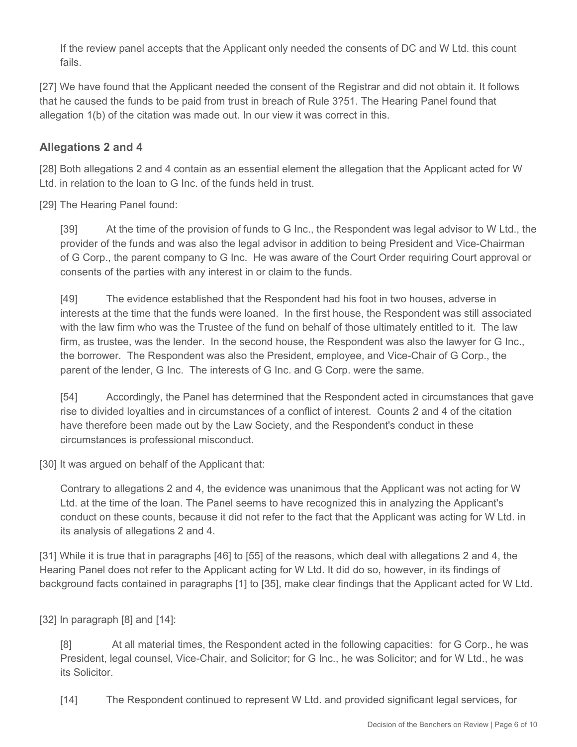If the review panel accepts that the Applicant only needed the consents of DC and W Ltd. this count fails.

[27] We have found that the Applicant needed the consent of the Registrar and did not obtain it. It follows that he caused the funds to be paid from trust in breach of Rule 3?51. The Hearing Panel found that allegation 1(b) of the citation was made out. In our view it was correct in this.

# **Allegations 2 and 4**

[28] Both allegations 2 and 4 contain as an essential element the allegation that the Applicant acted for W Ltd. in relation to the loan to G Inc. of the funds held in trust.

[29] The Hearing Panel found:

[39] At the time of the provision of funds to G Inc., the Respondent was legal advisor to W Ltd., the provider of the funds and was also the legal advisor in addition to being President and Vice-Chairman of G Corp., the parent company to G Inc. He was aware of the Court Order requiring Court approval or consents of the parties with any interest in or claim to the funds.

[49] The evidence established that the Respondent had his foot in two houses, adverse in interests at the time that the funds were loaned. In the first house, the Respondent was still associated with the law firm who was the Trustee of the fund on behalf of those ultimately entitled to it. The law firm, as trustee, was the lender. In the second house, the Respondent was also the lawyer for G Inc., the borrower. The Respondent was also the President, employee, and Vice-Chair of G Corp., the parent of the lender, G Inc. The interests of G Inc. and G Corp. were the same.

[54] Accordingly, the Panel has determined that the Respondent acted in circumstances that gave rise to divided loyalties and in circumstances of a conflict of interest. Counts 2 and 4 of the citation have therefore been made out by the Law Society, and the Respondent's conduct in these circumstances is professional misconduct.

[30] It was argued on behalf of the Applicant that:

Contrary to allegations 2 and 4, the evidence was unanimous that the Applicant was not acting for W Ltd. at the time of the loan. The Panel seems to have recognized this in analyzing the Applicant's conduct on these counts, because it did not refer to the fact that the Applicant was acting for W Ltd. in its analysis of allegations 2 and 4.

[31] While it is true that in paragraphs [46] to [55] of the reasons, which deal with allegations 2 and 4, the Hearing Panel does not refer to the Applicant acting for W Ltd. It did do so, however, in its findings of background facts contained in paragraphs [1] to [35], make clear findings that the Applicant acted for W Ltd.

[32] In paragraph [8] and [14]:

[8] At all material times, the Respondent acted in the following capacities: for G Corp., he was President, legal counsel, Vice-Chair, and Solicitor; for G Inc., he was Solicitor; and for W Ltd., he was its Solicitor.

[14] The Respondent continued to represent W Ltd. and provided significant legal services, for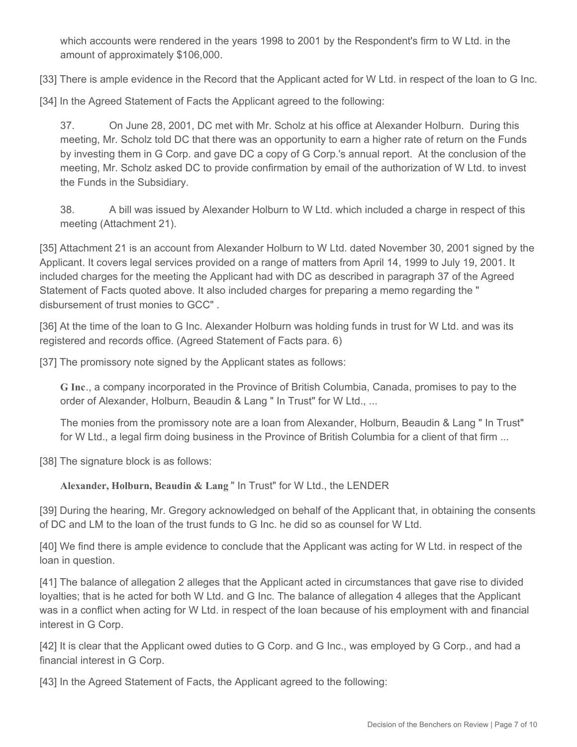which accounts were rendered in the years 1998 to 2001 by the Respondent's firm to W Ltd. in the amount of approximately \$106,000.

[33] There is ample evidence in the Record that the Applicant acted for W Ltd. in respect of the loan to G Inc.

[34] In the Agreed Statement of Facts the Applicant agreed to the following:

37. On June 28, 2001, DC met with Mr. Scholz at his office at Alexander Holburn. During this meeting, Mr. Scholz told DC that there was an opportunity to earn a higher rate of return on the Funds by investing them in G Corp. and gave DC a copy of G Corp.'s annual report. At the conclusion of the meeting, Mr. Scholz asked DC to provide confirmation by email of the authorization of W Ltd. to invest the Funds in the Subsidiary.

38. A bill was issued by Alexander Holburn to W Ltd. which included a charge in respect of this meeting (Attachment 21).

[35] Attachment 21 is an account from Alexander Holburn to W Ltd. dated November 30, 2001 signed by the Applicant. It covers legal services provided on a range of matters from April 14, 1999 to July 19, 2001. It included charges for the meeting the Applicant had with DC as described in paragraph 37 of the Agreed Statement of Facts quoted above. It also included charges for preparing a memo regarding the " disbursement of trust monies to GCC" .

[36] At the time of the loan to G Inc. Alexander Holburn was holding funds in trust for W Ltd. and was its registered and records office. (Agreed Statement of Facts para. 6)

[37] The promissory note signed by the Applicant states as follows:

**G Inc**., a company incorporated in the Province of British Columbia, Canada, promises to pay to the order of Alexander, Holburn, Beaudin & Lang " In Trust" for W Ltd., ...

The monies from the promissory note are a loan from Alexander, Holburn, Beaudin & Lang " In Trust" for W Ltd., a legal firm doing business in the Province of British Columbia for a client of that firm ...

[38] The signature block is as follows:

**Alexander, Holburn, Beaudin & Lang** " In Trust" for W Ltd., the LENDER

[39] During the hearing, Mr. Gregory acknowledged on behalf of the Applicant that, in obtaining the consents of DC and LM to the loan of the trust funds to G Inc. he did so as counsel for W Ltd.

[40] We find there is ample evidence to conclude that the Applicant was acting for W Ltd. in respect of the loan in question.

[41] The balance of allegation 2 alleges that the Applicant acted in circumstances that gave rise to divided loyalties; that is he acted for both W Ltd. and G Inc. The balance of allegation 4 alleges that the Applicant was in a conflict when acting for W Ltd. in respect of the loan because of his employment with and financial interest in G Corp.

[42] It is clear that the Applicant owed duties to G Corp. and G Inc., was employed by G Corp., and had a financial interest in G Corp.

[43] In the Agreed Statement of Facts, the Applicant agreed to the following: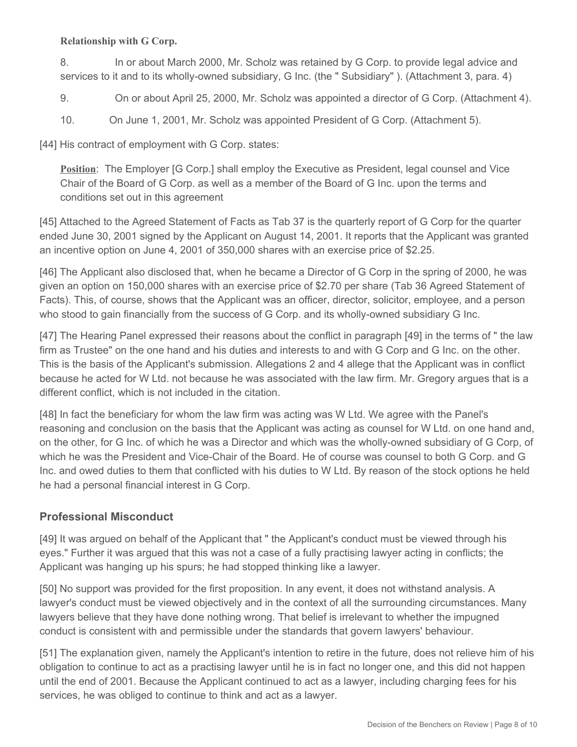### **Relationship with G Corp.**

8. In or about March 2000, Mr. Scholz was retained by G Corp. to provide legal advice and services to it and to its wholly-owned subsidiary, G Inc. (the " Subsidiary" ). (Attachment 3, para. 4)

9. On or about April 25, 2000, Mr. Scholz was appointed a director of G Corp. (Attachment 4).

10. On June 1, 2001, Mr. Scholz was appointed President of G Corp. (Attachment 5).

[44] His contract of employment with G Corp. states:

**Position**: The Employer [G Corp.] shall employ the Executive as President, legal counsel and Vice Chair of the Board of G Corp. as well as a member of the Board of G Inc. upon the terms and conditions set out in this agreement

[45] Attached to the Agreed Statement of Facts as Tab 37 is the quarterly report of G Corp for the quarter ended June 30, 2001 signed by the Applicant on August 14, 2001. It reports that the Applicant was granted an incentive option on June 4, 2001 of 350,000 shares with an exercise price of \$2.25.

[46] The Applicant also disclosed that, when he became a Director of G Corp in the spring of 2000, he was given an option on 150,000 shares with an exercise price of \$2.70 per share (Tab 36 Agreed Statement of Facts). This, of course, shows that the Applicant was an officer, director, solicitor, employee, and a person who stood to gain financially from the success of G Corp. and its wholly-owned subsidiary G Inc.

[47] The Hearing Panel expressed their reasons about the conflict in paragraph [49] in the terms of " the law firm as Trustee" on the one hand and his duties and interests to and with G Corp and G Inc. on the other. This is the basis of the Applicant's submission. Allegations 2 and 4 allege that the Applicant was in conflict because he acted for W Ltd. not because he was associated with the law firm. Mr. Gregory argues that is a different conflict, which is not included in the citation.

[48] In fact the beneficiary for whom the law firm was acting was W Ltd. We agree with the Panel's reasoning and conclusion on the basis that the Applicant was acting as counsel for W Ltd. on one hand and, on the other, for G Inc. of which he was a Director and which was the wholly-owned subsidiary of G Corp, of which he was the President and Vice-Chair of the Board. He of course was counsel to both G Corp. and G Inc. and owed duties to them that conflicted with his duties to W Ltd. By reason of the stock options he held he had a personal financial interest in G Corp.

### **Professional Misconduct**

[49] It was argued on behalf of the Applicant that " the Applicant's conduct must be viewed through his eyes." Further it was argued that this was not a case of a fully practising lawyer acting in conflicts; the Applicant was hanging up his spurs; he had stopped thinking like a lawyer.

[50] No support was provided for the first proposition. In any event, it does not withstand analysis. A lawyer's conduct must be viewed objectively and in the context of all the surrounding circumstances. Many lawyers believe that they have done nothing wrong. That belief is irrelevant to whether the impugned conduct is consistent with and permissible under the standards that govern lawyers' behaviour.

[51] The explanation given, namely the Applicant's intention to retire in the future, does not relieve him of his obligation to continue to act as a practising lawyer until he is in fact no longer one, and this did not happen until the end of 2001. Because the Applicant continued to act as a lawyer, including charging fees for his services, he was obliged to continue to think and act as a lawyer.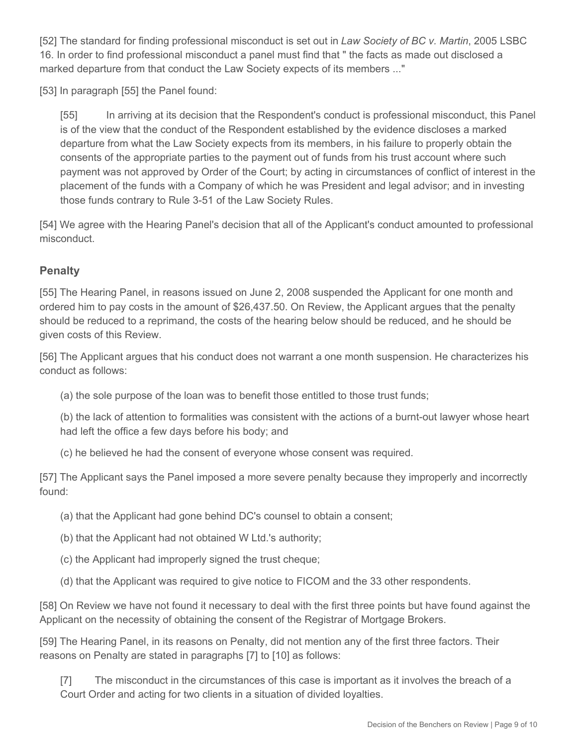[52] The standard for finding professional misconduct is set out in *Law Society of BC v. Martin*, 2005 LSBC 16. In order to find professional misconduct a panel must find that " the facts as made out disclosed a marked departure from that conduct the Law Society expects of its members ..."

[53] In paragraph [55] the Panel found:

[55] In arriving at its decision that the Respondent's conduct is professional misconduct, this Panel is of the view that the conduct of the Respondent established by the evidence discloses a marked departure from what the Law Society expects from its members, in his failure to properly obtain the consents of the appropriate parties to the payment out of funds from his trust account where such payment was not approved by Order of the Court; by acting in circumstances of conflict of interest in the placement of the funds with a Company of which he was President and legal advisor; and in investing those funds contrary to Rule 3-51 of the Law Society Rules.

[54] We agree with the Hearing Panel's decision that all of the Applicant's conduct amounted to professional misconduct.

# **Penalty**

[55] The Hearing Panel, in reasons issued on June 2, 2008 suspended the Applicant for one month and ordered him to pay costs in the amount of \$26,437.50. On Review, the Applicant argues that the penalty should be reduced to a reprimand, the costs of the hearing below should be reduced, and he should be given costs of this Review.

[56] The Applicant argues that his conduct does not warrant a one month suspension. He characterizes his conduct as follows:

(a) the sole purpose of the loan was to benefit those entitled to those trust funds;

(b) the lack of attention to formalities was consistent with the actions of a burnt-out lawyer whose heart had left the office a few days before his body; and

(c) he believed he had the consent of everyone whose consent was required.

[57] The Applicant says the Panel imposed a more severe penalty because they improperly and incorrectly found:

- (a) that the Applicant had gone behind DC's counsel to obtain a consent;
- (b) that the Applicant had not obtained W Ltd.'s authority;
- (c) the Applicant had improperly signed the trust cheque;
- (d) that the Applicant was required to give notice to FICOM and the 33 other respondents.

[58] On Review we have not found it necessary to deal with the first three points but have found against the Applicant on the necessity of obtaining the consent of the Registrar of Mortgage Brokers.

[59] The Hearing Panel, in its reasons on Penalty, did not mention any of the first three factors. Their reasons on Penalty are stated in paragraphs [7] to [10] as follows:

[7] The misconduct in the circumstances of this case is important as it involves the breach of a Court Order and acting for two clients in a situation of divided loyalties.